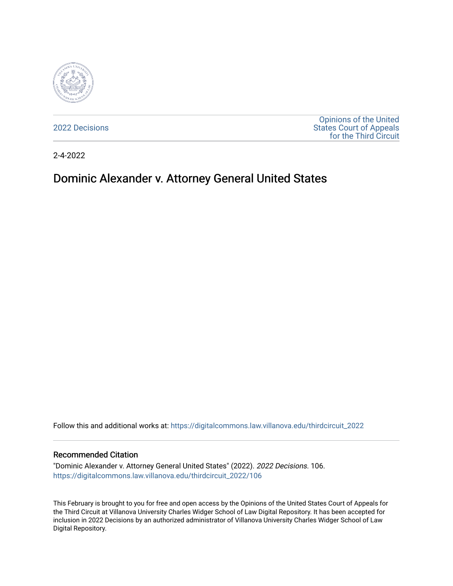

[2022 Decisions](https://digitalcommons.law.villanova.edu/thirdcircuit_2022)

[Opinions of the United](https://digitalcommons.law.villanova.edu/thirdcircuit)  [States Court of Appeals](https://digitalcommons.law.villanova.edu/thirdcircuit)  [for the Third Circuit](https://digitalcommons.law.villanova.edu/thirdcircuit) 

2-4-2022

# Dominic Alexander v. Attorney General United States

Follow this and additional works at: [https://digitalcommons.law.villanova.edu/thirdcircuit\\_2022](https://digitalcommons.law.villanova.edu/thirdcircuit_2022?utm_source=digitalcommons.law.villanova.edu%2Fthirdcircuit_2022%2F106&utm_medium=PDF&utm_campaign=PDFCoverPages) 

#### Recommended Citation

"Dominic Alexander v. Attorney General United States" (2022). 2022 Decisions. 106. [https://digitalcommons.law.villanova.edu/thirdcircuit\\_2022/106](https://digitalcommons.law.villanova.edu/thirdcircuit_2022/106?utm_source=digitalcommons.law.villanova.edu%2Fthirdcircuit_2022%2F106&utm_medium=PDF&utm_campaign=PDFCoverPages)

This February is brought to you for free and open access by the Opinions of the United States Court of Appeals for the Third Circuit at Villanova University Charles Widger School of Law Digital Repository. It has been accepted for inclusion in 2022 Decisions by an authorized administrator of Villanova University Charles Widger School of Law Digital Repository.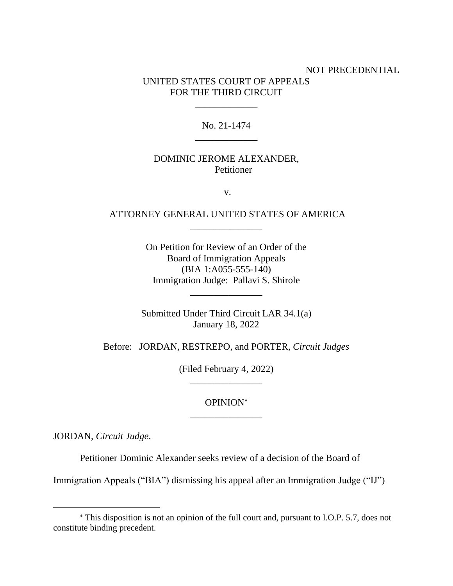# NOT PRECEDENTIAL UNITED STATES COURT OF APPEALS FOR THE THIRD CIRCUIT

## No. 21-1474 \_\_\_\_\_\_\_\_\_\_\_\_\_

\_\_\_\_\_\_\_\_\_\_\_\_\_

## DOMINIC JEROME ALEXANDER, Petitioner

v.

## ATTORNEY GENERAL UNITED STATES OF AMERICA \_\_\_\_\_\_\_\_\_\_\_\_\_\_\_

On Petition for Review of an Order of the Board of Immigration Appeals (BIA 1:A055-555-140) Immigration Judge: Pallavi S. Shirole

\_\_\_\_\_\_\_\_\_\_\_\_\_\_\_

Submitted Under Third Circuit LAR 34.1(a) January 18, 2022

Before: JORDAN, RESTREPO, and PORTER, *Circuit Judges*

(Filed February 4, 2022) \_\_\_\_\_\_\_\_\_\_\_\_\_\_\_

## OPINION \_\_\_\_\_\_\_\_\_\_\_\_\_\_\_

JORDAN, *Circuit Judge*.

Petitioner Dominic Alexander seeks review of a decision of the Board of

Immigration Appeals ("BIA") dismissing his appeal after an Immigration Judge ("IJ")

This disposition is not an opinion of the full court and, pursuant to I.O.P. 5.7, does not constitute binding precedent.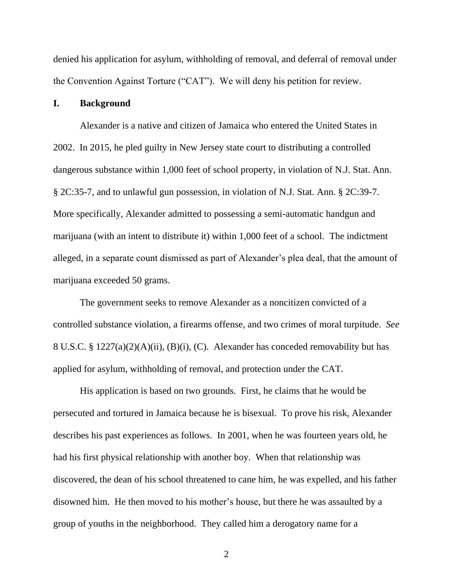denied his application for asylum, withholding of removal, and deferral of removal under the Convention Against Torture ("CAT"). We will deny his petition for review.

#### **I. Background**

Alexander is a native and citizen of Jamaica who entered the United States in 2002. In 2015, he pled guilty in New Jersey state court to distributing a controlled dangerous substance within 1,000 feet of school property, in violation of N.J. Stat. Ann. § 2C:35-7, and to unlawful gun possession, in violation of N.J. Stat. Ann. § 2C:39-7. More specifically, Alexander admitted to possessing a semi-automatic handgun and marijuana (with an intent to distribute it) within 1,000 feet of a school. The indictment alleged, in a separate count dismissed as part of Alexander's plea deal, that the amount of marijuana exceeded 50 grams.

The government seeks to remove Alexander as a noncitizen convicted of a controlled substance violation, a firearms offense, and two crimes of moral turpitude. *See*  8 U.S.C. § 1227(a)(2)(A)(ii), (B)(i), (C). Alexander has conceded removability but has applied for asylum, withholding of removal, and protection under the CAT.

His application is based on two grounds. First, he claims that he would be persecuted and tortured in Jamaica because he is bisexual. To prove his risk, Alexander describes his past experiences as follows. In 2001, when he was fourteen years old, he had his first physical relationship with another boy. When that relationship was discovered, the dean of his school threatened to cane him, he was expelled, and his father disowned him. He then moved to his mother's house, but there he was assaulted by a group of youths in the neighborhood. They called him a derogatory name for a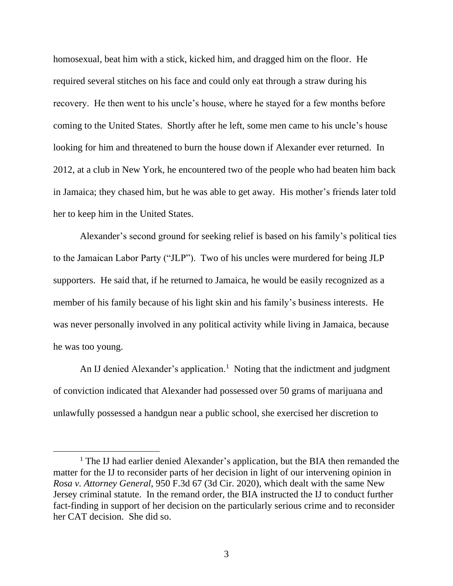homosexual, beat him with a stick, kicked him, and dragged him on the floor. He required several stitches on his face and could only eat through a straw during his recovery. He then went to his uncle's house, where he stayed for a few months before coming to the United States. Shortly after he left, some men came to his uncle's house looking for him and threatened to burn the house down if Alexander ever returned. In 2012, at a club in New York, he encountered two of the people who had beaten him back in Jamaica; they chased him, but he was able to get away. His mother's friends later told her to keep him in the United States.

Alexander's second ground for seeking relief is based on his family's political ties to the Jamaican Labor Party ("JLP"). Two of his uncles were murdered for being JLP supporters. He said that, if he returned to Jamaica, he would be easily recognized as a member of his family because of his light skin and his family's business interests. He was never personally involved in any political activity while living in Jamaica, because he was too young.

An IJ denied Alexander's application.<sup>1</sup> Noting that the indictment and judgment of conviction indicated that Alexander had possessed over 50 grams of marijuana and unlawfully possessed a handgun near a public school, she exercised her discretion to

<sup>&</sup>lt;sup>1</sup> The IJ had earlier denied Alexander's application, but the BIA then remanded the matter for the IJ to reconsider parts of her decision in light of our intervening opinion in *Rosa v. Attorney General*, 950 F.3d 67 (3d Cir. 2020), which dealt with the same New Jersey criminal statute. In the remand order, the BIA instructed the IJ to conduct further fact-finding in support of her decision on the particularly serious crime and to reconsider her CAT decision. She did so.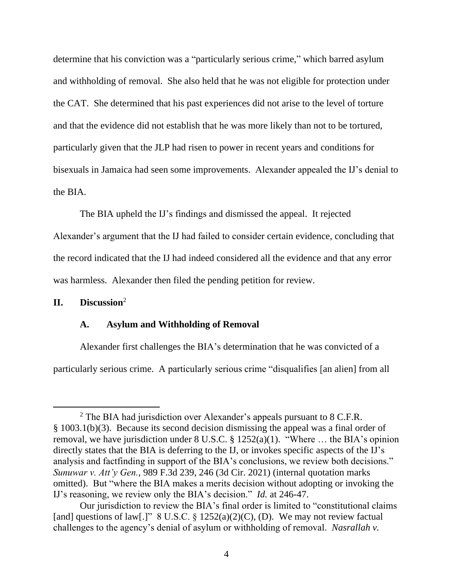determine that his conviction was a "particularly serious crime," which barred asylum and withholding of removal. She also held that he was not eligible for protection under the CAT. She determined that his past experiences did not arise to the level of torture and that the evidence did not establish that he was more likely than not to be tortured, particularly given that the JLP had risen to power in recent years and conditions for bisexuals in Jamaica had seen some improvements. Alexander appealed the IJ's denial to the BIA.

The BIA upheld the IJ's findings and dismissed the appeal. It rejected Alexander's argument that the IJ had failed to consider certain evidence, concluding that the record indicated that the IJ had indeed considered all the evidence and that any error was harmless. Alexander then filed the pending petition for review.

# **II. Discussion**<sup>2</sup>

#### **A. Asylum and Withholding of Removal**

Alexander first challenges the BIA's determination that he was convicted of a particularly serious crime. A particularly serious crime "disqualifies [an alien] from all

 $2$  The BIA had jurisdiction over Alexander's appeals pursuant to 8 C.F.R. § 1003.1(b)(3). Because its second decision dismissing the appeal was a final order of removal, we have jurisdiction under 8 U.S.C. § 1252(a)(1). "Where … the BIA's opinion directly states that the BIA is deferring to the IJ, or invokes specific aspects of the IJ's analysis and factfinding in support of the BIA's conclusions, we review both decisions." *Sunuwar v. Att'y Gen.*, 989 F.3d 239, 246 (3d Cir. 2021) (internal quotation marks omitted). But "where the BIA makes a merits decision without adopting or invoking the IJ's reasoning, we review only the BIA's decision." *Id.* at 246-47.

Our jurisdiction to review the BIA's final order is limited to "constitutional claims [and] questions of law[.]" 8 U.S.C.  $\S$  1252(a)(2)(C), (D). We may not review factual challenges to the agency's denial of asylum or withholding of removal. *Nasrallah v.*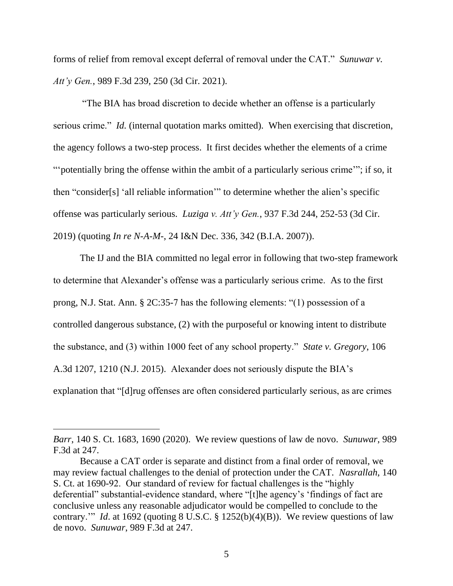forms of relief from removal except deferral of removal under the CAT." *Sunuwar v. Att'y Gen.*, 989 F.3d 239, 250 (3d Cir. 2021).

"The BIA has broad discretion to decide whether an offense is a particularly serious crime." *Id.* (internal quotation marks omitted). When exercising that discretion, the agency follows a two-step process. It first decides whether the elements of a crime ""potentially bring the offense within the ambit of a particularly serious crime""; if so, it then "consider[s] 'all reliable information'" to determine whether the alien's specific offense was particularly serious. *Luziga v. Att'y Gen.*, 937 F.3d 244, 252-53 (3d Cir. 2019) (quoting *In re N-A-M-*, 24 I&N Dec. 336, 342 (B.I.A. 2007)).

The IJ and the BIA committed no legal error in following that two-step framework to determine that Alexander's offense was a particularly serious crime. As to the first prong, N.J. Stat. Ann. § 2C:35-7 has the following elements: "(1) possession of a controlled dangerous substance, (2) with the purposeful or knowing intent to distribute the substance, and (3) within 1000 feet of any school property." *State v. Gregory*, 106 A.3d 1207, 1210 (N.J. 2015). Alexander does not seriously dispute the BIA's explanation that "[d]rug offenses are often considered particularly serious, as are crimes

*Barr*, 140 S. Ct. 1683, 1690 (2020). We review questions of law de novo. *Sunuwar*, 989 F.3d at 247.

Because a CAT order is separate and distinct from a final order of removal, we may review factual challenges to the denial of protection under the CAT. *Nasrallah*, 140 S. Ct. at 1690-92. Our standard of review for factual challenges is the "highly deferential" substantial-evidence standard, where "[t]he agency's 'findings of fact are conclusive unless any reasonable adjudicator would be compelled to conclude to the contrary.'" *Id.* at 1692 (quoting 8 U.S.C. § 1252(b)(4)(B)). We review questions of law de novo. *Sunuwar*, 989 F.3d at 247.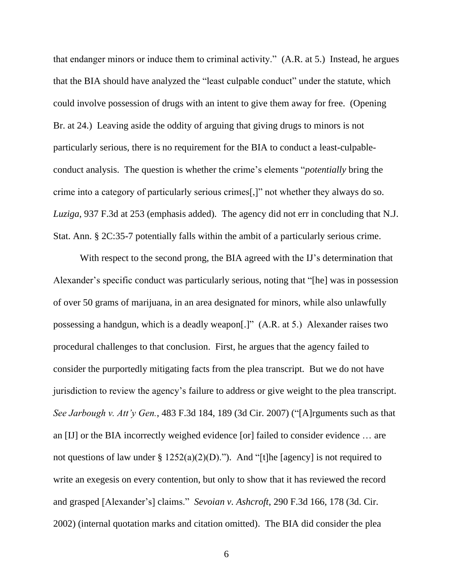that endanger minors or induce them to criminal activity." (A.R. at 5.) Instead, he argues that the BIA should have analyzed the "least culpable conduct" under the statute, which could involve possession of drugs with an intent to give them away for free. (Opening Br. at 24.) Leaving aside the oddity of arguing that giving drugs to minors is not particularly serious, there is no requirement for the BIA to conduct a least-culpableconduct analysis. The question is whether the crime's elements "*potentially* bring the crime into a category of particularly serious crimes[,]" not whether they always do so. *Luziga*, 937 F.3d at 253 (emphasis added). The agency did not err in concluding that N.J. Stat. Ann. § 2C:35-7 potentially falls within the ambit of a particularly serious crime.

With respect to the second prong, the BIA agreed with the IJ's determination that Alexander's specific conduct was particularly serious, noting that "[he] was in possession of over 50 grams of marijuana, in an area designated for minors, while also unlawfully possessing a handgun, which is a deadly weapon[.]" (A.R. at 5.) Alexander raises two procedural challenges to that conclusion. First, he argues that the agency failed to consider the purportedly mitigating facts from the plea transcript. But we do not have jurisdiction to review the agency's failure to address or give weight to the plea transcript. *See Jarbough v. Att'y Gen.*, 483 F.3d 184, 189 (3d Cir. 2007) ("[A]rguments such as that an [IJ] or the BIA incorrectly weighed evidence [or] failed to consider evidence … are not questions of law under  $\S 1252(a)(2)(D)$ ."). And "[t]he [agency] is not required to write an exegesis on every contention, but only to show that it has reviewed the record and grasped [Alexander's] claims." *Sevoian v. Ashcroft*, 290 F.3d 166, 178 (3d. Cir. 2002) (internal quotation marks and citation omitted). The BIA did consider the plea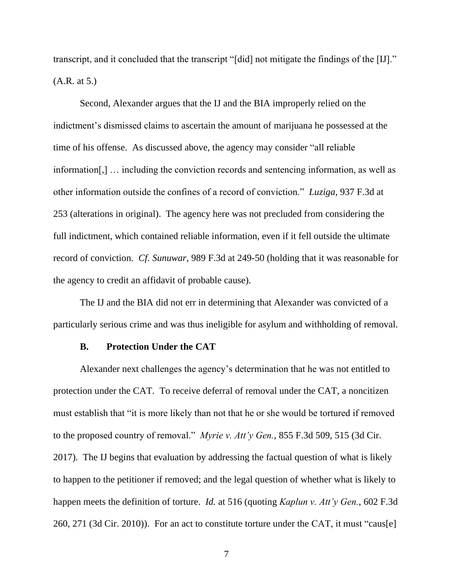transcript, and it concluded that the transcript "[did] not mitigate the findings of the [IJ]." (A.R. at 5.)

Second, Alexander argues that the IJ and the BIA improperly relied on the indictment's dismissed claims to ascertain the amount of marijuana he possessed at the time of his offense. As discussed above, the agency may consider "all reliable information[,] … including the conviction records and sentencing information, as well as other information outside the confines of a record of conviction." *Luziga*, 937 F.3d at 253 (alterations in original). The agency here was not precluded from considering the full indictment, which contained reliable information, even if it fell outside the ultimate record of conviction. *Cf. Sunuwar*, 989 F.3d at 249-50 (holding that it was reasonable for the agency to credit an affidavit of probable cause).

The IJ and the BIA did not err in determining that Alexander was convicted of a particularly serious crime and was thus ineligible for asylum and withholding of removal.

#### **B. Protection Under the CAT**

Alexander next challenges the agency's determination that he was not entitled to protection under the CAT. To receive deferral of removal under the CAT, a noncitizen must establish that "it is more likely than not that he or she would be tortured if removed to the proposed country of removal." *Myrie v. Att'y Gen.*, 855 F.3d 509, 515 (3d Cir. 2017). The IJ begins that evaluation by addressing the factual question of what is likely to happen to the petitioner if removed; and the legal question of whether what is likely to happen meets the definition of torture. *Id.* at 516 (quoting *Kaplun v. Att'y Gen.*, 602 F.3d 260, 271 (3d Cir. 2010)). For an act to constitute torture under the CAT, it must "caus[e]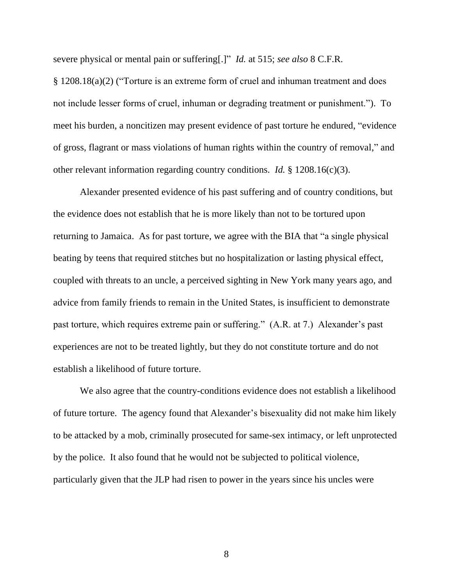severe physical or mental pain or suffering[.]" *Id.* at 515; *see also* 8 C.F.R.

§ 1208.18(a)(2) ("Torture is an extreme form of cruel and inhuman treatment and does not include lesser forms of cruel, inhuman or degrading treatment or punishment."). To meet his burden, a noncitizen may present evidence of past torture he endured, "evidence of gross, flagrant or mass violations of human rights within the country of removal," and other relevant information regarding country conditions. *Id.* § 1208.16(c)(3).

Alexander presented evidence of his past suffering and of country conditions, but the evidence does not establish that he is more likely than not to be tortured upon returning to Jamaica. As for past torture, we agree with the BIA that "a single physical beating by teens that required stitches but no hospitalization or lasting physical effect, coupled with threats to an uncle, a perceived sighting in New York many years ago, and advice from family friends to remain in the United States, is insufficient to demonstrate past torture, which requires extreme pain or suffering." (A.R. at 7.) Alexander's past experiences are not to be treated lightly, but they do not constitute torture and do not establish a likelihood of future torture.

We also agree that the country-conditions evidence does not establish a likelihood of future torture. The agency found that Alexander's bisexuality did not make him likely to be attacked by a mob, criminally prosecuted for same-sex intimacy, or left unprotected by the police. It also found that he would not be subjected to political violence, particularly given that the JLP had risen to power in the years since his uncles were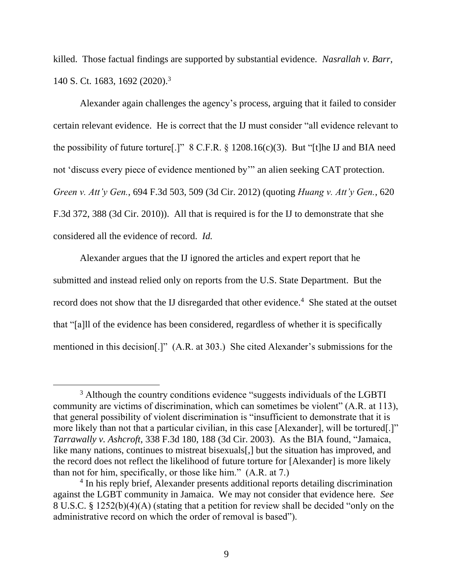killed. Those factual findings are supported by substantial evidence. *Nasrallah v. Barr*, 140 S. Ct. 1683, 1692 (2020). 3

Alexander again challenges the agency's process, arguing that it failed to consider certain relevant evidence. He is correct that the IJ must consider "all evidence relevant to the possibility of future torture[.]" 8 C.F.R. § 1208.16(c)(3). But "[t]he IJ and BIA need not 'discuss every piece of evidence mentioned by'" an alien seeking CAT protection. *Green v. Att'y Gen.*, 694 F.3d 503, 509 (3d Cir. 2012) (quoting *Huang v. Att'y Gen.*, 620 F.3d 372, 388 (3d Cir. 2010)). All that is required is for the IJ to demonstrate that she considered all the evidence of record. *Id.*

Alexander argues that the IJ ignored the articles and expert report that he submitted and instead relied only on reports from the U.S. State Department. But the record does not show that the IJ disregarded that other evidence.<sup>4</sup> She stated at the outset that "[a]ll of the evidence has been considered, regardless of whether it is specifically mentioned in this decision[.]" (A.R. at 303.) She cited Alexander's submissions for the

<sup>&</sup>lt;sup>3</sup> Although the country conditions evidence "suggests individuals of the LGBTI community are victims of discrimination, which can sometimes be violent" (A.R. at 113), that general possibility of violent discrimination is "insufficient to demonstrate that it is more likely than not that a particular civilian, in this case [Alexander], will be tortured[.]" *Tarrawally v. Ashcroft*, 338 F.3d 180, 188 (3d Cir. 2003). As the BIA found, "Jamaica, like many nations, continues to mistreat bisexuals[,] but the situation has improved, and the record does not reflect the likelihood of future torture for [Alexander] is more likely than not for him, specifically, or those like him." (A.R. at 7.)

<sup>&</sup>lt;sup>4</sup> In his reply brief, Alexander presents additional reports detailing discrimination against the LGBT community in Jamaica. We may not consider that evidence here. *See*  8 U.S.C. § 1252(b)(4)(A) (stating that a petition for review shall be decided "only on the administrative record on which the order of removal is based").